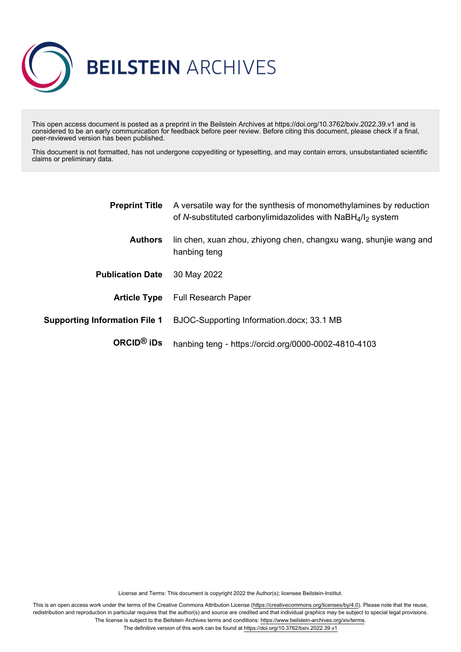

This open access document is posted as a preprint in the Beilstein Archives at https://doi.org/10.3762/bxiv.2022.39.v1 and is considered to be an early communication for feedback before peer review. Before citing this document, please check if a final, peer-reviewed version has been published.

This document is not formatted, has not undergone copyediting or typesetting, and may contain errors, unsubstantiated scientific claims or preliminary data.

| <b>Preprint Title</b>                | A versatile way for the synthesis of monomethylamines by reduction<br>of N-substituted carbonylimidazolides with NaBH <sub>4</sub> /l <sub>2</sub> system |  |  |  |
|--------------------------------------|-----------------------------------------------------------------------------------------------------------------------------------------------------------|--|--|--|
| <b>Authors</b>                       | lin chen, xuan zhou, zhiyong chen, changxu wang, shunjie wang and<br>hanbing teng                                                                         |  |  |  |
| <b>Publication Date</b>              | 30 May 2022                                                                                                                                               |  |  |  |
| <b>Article Type</b>                  | <b>Full Research Paper</b>                                                                                                                                |  |  |  |
| <b>Supporting Information File 1</b> | BJOC-Supporting Information.docx; 33.1 MB                                                                                                                 |  |  |  |
| ORCID <sup>®</sup> iDs               | hanbing teng - https://orcid.org/0000-0002-4810-4103                                                                                                      |  |  |  |

License and Terms: This document is copyright 2022 the Author(s); licensee Beilstein-Institut.

This is an open access work under the terms of the Creative Commons Attribution License [\(https://creativecommons.org/licenses/by/4.0\)](https://creativecommons.org/licenses/by/4.0). Please note that the reuse, redistribution and reproduction in particular requires that the author(s) and source are credited and that individual graphics may be subject to special legal provisions. The license is subject to the Beilstein Archives terms and conditions: [https://www.beilstein-archives.org/xiv/terms.](https://www.beilstein-archives.org/xiv/terms)

The definitive version of this work can be found at <https://doi.org/10.3762/bxiv.2022.39.v1>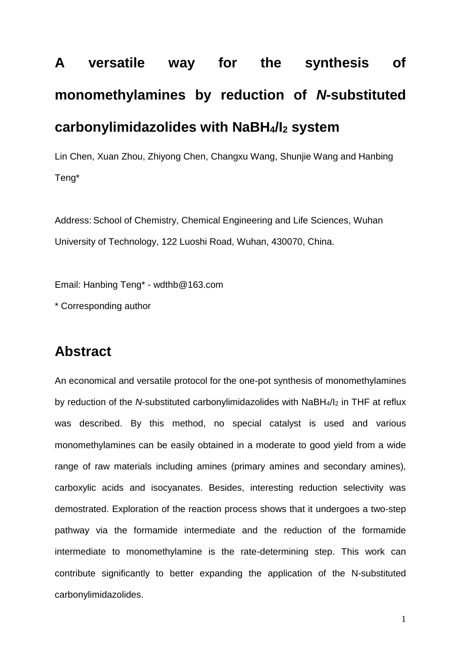# **A versatile way for the synthesis of monomethylamines by reduction of** *N***-substituted carbonylimidazolides with NaBH4/I<sup>2</sup> system**

Lin Chen, Xuan Zhou, Zhiyong Chen, Changxu Wang, Shunjie Wang and Hanbing Teng\*

Address: School of Chemistry, Chemical Engineering and Life Sciences, Wuhan University of Technology, 122 Luoshi Road, Wuhan, 430070, China.

Email: Hanbing Teng\* - wdthb@163.com

\* Corresponding author

## **Abstract**

An economical and versatile protocol for the one-pot synthesis of monomethylamines by reduction of the *N*-substituted carbonylimidazolides with NaBH<sub>4</sub>/I<sub>2</sub> in THF at reflux was described. By this method, no special catalyst is used and various monomethylamines can be easily obtained in a moderate to good yield from a wide range of raw materials including amines (primary amines and secondary amines), carboxylic acids and isocyanates. Besides, interesting reduction selectivity was demostrated. Exploration of the reaction process shows that it undergoes a two-step pathway via the formamide intermediate and the reduction of the formamide intermediate to monomethylamine is the rate-determining step. This work can contribute significantly to better expanding the application of the N-substituted carbonylimidazolides.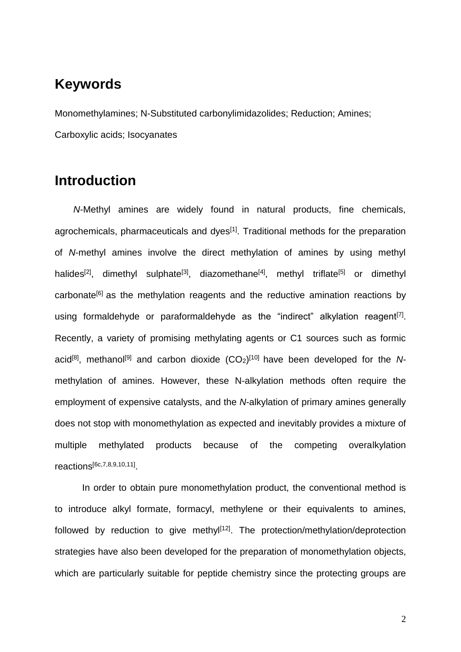## **Keywords**

Monomethylamines; N-Substituted carbonylimidazolides; Reduction; Amines; Carboxylic acids; Isocyanates

## **Introduction**

*N*-Methyl amines are widely found in natural products, fine chemicals, agrochemicals, pharmaceuticals and dyes<sup>[1]</sup>. Traditional methods for the preparation of *N*-methyl amines involve the direct methylation of amines by using methyl halides<sup>[2]</sup>, dimethyl sulphate<sup>[3]</sup>, diazomethane<sup>[4]</sup>, methyl triflate<sup>[5]</sup> or dimethyl carbonate<sup>[6]</sup> as the methylation reagents and the reductive amination reactions by using formaldehyde or paraformaldehyde as the "indirect" alkylation reagent<sup>[7]</sup>. Recently, a variety of promising methylating agents or C1 sources such as formic acid<sup>[8]</sup>, methanol<sup>[9]</sup> and carbon dioxide (CO<sub>2</sub>)<sup>[10]</sup> have been developed for the Nmethylation of amines. However, these N-alkylation methods often require the employment of expensive catalysts, and the *N*-alkylation of primary amines generally does not stop with monomethylation as expected and inevitably provides a mixture of multiple methylated products because of the competing overalkylation reactions[6c,7,8,9,10,11] .

In order to obtain pure monomethylation product, the conventional method is to introduce alkyl formate, formacyl, methylene or their equivalents to amines, followed by reduction to give methyl<sup>[12]</sup>. The protection/methylation/deprotection strategies have also been developed for the preparation of monomethylation objects, which are particularly suitable for peptide chemistry since the protecting groups are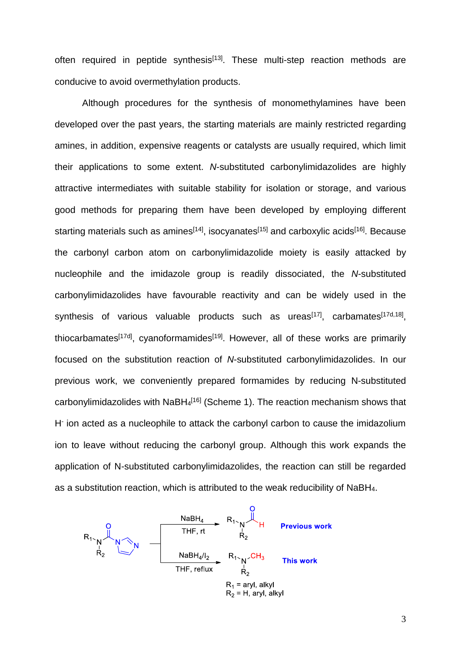often required in peptide synthesis<sup>[13]</sup>. These multi-step reaction methods are conducive to avoid overmethylation products.

Although procedures for the synthesis of monomethylamines have been developed over the past years, the starting materials are mainly restricted regarding amines, in addition, expensive reagents or catalysts are usually required, which limit their applications to some extent. *N*-substituted carbonylimidazolides are highly attractive intermediates with suitable stability for isolation or storage, and various good methods for preparing them have been developed by employing different starting materials such as amines<sup>[14]</sup>, isocyanates<sup>[15]</sup> and carboxylic acids<sup>[16]</sup>. Because the carbonyl carbon atom on carbonylimidazolide moiety is easily attacked by nucleophile and the imidazole group is readily dissociated, the *N*-substituted carbonylimidazolides have favourable reactivity and can be widely used in the synthesis of various valuable products such as ureas<sup>[17]</sup>, carbamates<sup>[17d,18]</sup>, thiocarbamates<sup>[17d]</sup>, cyanoformamides<sup>[19]</sup>. However, all of these works are primarily focused on the substitution reaction of *N*-substituted carbonylimidazolides. In our previous work, we conveniently prepared formamides by reducing N-substituted carbonylimidazolides with  $N$ aBH<sub>4</sub><sup>[16]</sup> (Scheme 1). The reaction mechanism shows that H-ion acted as a nucleophile to attack the carbonyl carbon to cause the imidazolium ion to leave without reducing the carbonyl group. Although this work expands the application of N-substituted carbonylimidazolides, the reaction can still be regarded as a substitution reaction, which is attributed to the weak reducibility of NaBH4.

 $R_1 \searrow R_2$ <br>  $R_1 \searrow R_2$ <br>  $R_2$ <br>  $R_3 \searrow R_4/I_2$ <br>  $R_1 \searrow R_2$ <br>  $R_2 \searrow R_1 \searrow C H_3$ <br>  $R_1 \searrow C H_3$ <br>
The reflux<br>  $R_2$ <br>
The revious work<br>  $R_1$  $R_1$  = aryl, alkyl<br> $R_2$  = H, aryl, alkyl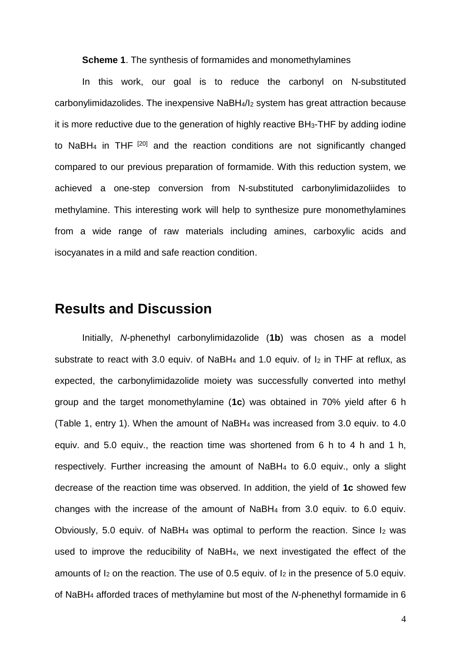**Scheme 1**. The synthesis of formamides and monomethylamines

In this work, our goal is to reduce the carbonyl on N-substituted carbonylimidazolides. The inexpensive NaBH4/I<sup>2</sup> system has great attraction because it is more reductive due to the generation of highly reactive BH3-THF by adding iodine to NaBH<sub>4</sub> in THF<sup> $[20]$ </sup> and the reaction conditions are not significantly changed compared to our previous preparation of formamide. With this reduction system, we achieved a one-step conversion from N-substituted carbonylimidazoliides to methylamine. This interesting work will help to synthesize pure monomethylamines from a wide range of raw materials including amines, carboxylic acids and isocyanates in a mild and safe reaction condition.

#### **Results and Discussion**

Initially, *N*-phenethyl carbonylimidazolide (**1b**) was chosen as a model substrate to react with 3.0 equiv. of NaBH<sub>4</sub> and 1.0 equiv. of  $I_2$  in THF at reflux, as expected, the carbonylimidazolide moiety was successfully converted into methyl group and the target monomethylamine (**1c**) was obtained in 70% yield after 6 h (Table 1, entry 1). When the amount of NaBH<sup>4</sup> was increased from 3.0 equiv. to 4.0 equiv. and 5.0 equiv., the reaction time was shortened from 6 h to 4 h and 1 h, respectively. Further increasing the amount of NaBH<sup>4</sup> to 6.0 equiv., only a slight decrease of the reaction time was observed. In addition, the yield of **1c** showed few changes with the increase of the amount of NaBH<sup>4</sup> from 3.0 equiv. to 6.0 equiv. Obviously, 5.0 equiv. of NaBH<sub>4</sub> was optimal to perform the reaction. Since  $I_2$  was used to improve the reducibility of NaBH4, we next investigated the effect of the amounts of  $I_2$  on the reaction. The use of 0.5 equiv. of  $I_2$  in the presence of 5.0 equiv. of NaBH<sup>4</sup> afforded traces of methylamine but most of the *N*-phenethyl formamide in 6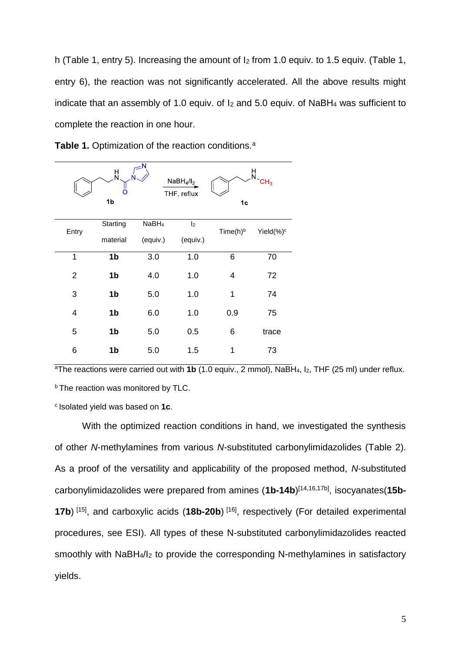h (Table 1, entry 5). Increasing the amount of  $I_2$  from 1.0 equiv. to 1.5 equiv. (Table 1, entry 6), the reaction was not significantly accelerated. All the above results might indicate that an assembly of 1.0 equiv. of I<sup>2</sup> and 5.0 equiv. of NaBH<sup>4</sup> was sufficient to complete the reaction in one hour.



**Table 1.** Optimization of the reaction conditions.<sup>a</sup>

<sup>a</sup>The reactions were carried out with **1b** (1.0 equiv., 2 mmol), NaBH4, I2, THF (25 ml) under reflux. **b** The reaction was monitored by TLC.

<sup>c</sup> Isolated yield was based on 1c.

With the optimized reaction conditions in hand, we investigated the synthesis of other *N*-methylamines from various *N*-substituted carbonylimidazolides (Table 2). As a proof of the versatility and applicability of the proposed method, *N*-substituted carbonylimidazolides were prepared from amines (**1b-14b**) [14,16,17b] , isocyanates(**15b-17b**)<sup>[15]</sup>, and carboxylic acids (**18b-20b**)<sup>[16]</sup>, respectively (For detailed experimental procedures, see ESI). All types of these N-substituted carbonylimidazolides reacted smoothly with NaBH4/I<sup>2</sup> to provide the corresponding N-methylamines in satisfactory yields.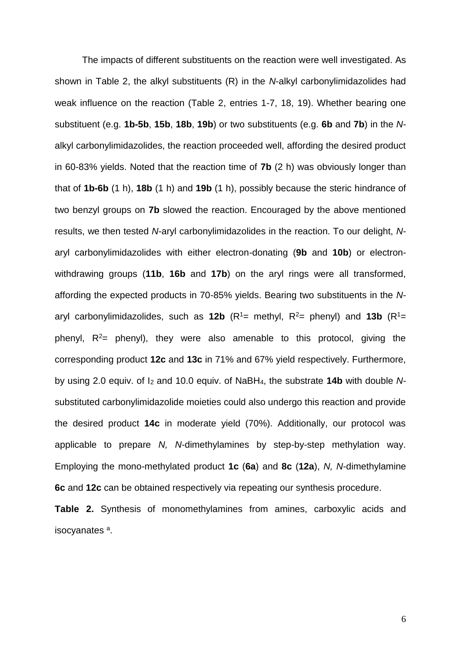The impacts of different substituents on the reaction were well investigated. As shown in Table 2, the alkyl substituents (R) in the *N*-alkyl carbonylimidazolides had weak influence on the reaction (Table 2, entries 1-7, 18, 19). Whether bearing one substituent (e.g. **1b-5b**, **15b**, **18b**, **19b**) or two substituents (e.g. **6b** and **7b**) in the *N*alkyl carbonylimidazolides, the reaction proceeded well, affording the desired product in 60-83% yields. Noted that the reaction time of **7b** (2 h) was obviously longer than that of **1b-6b** (1 h), **18b** (1 h) and **19b** (1 h), possibly because the steric hindrance of two benzyl groups on **7b** slowed the reaction. Encouraged by the above mentioned results, we then tested *N*-aryl carbonylimidazolides in the reaction. To our delight, *N*aryl carbonylimidazolides with either electron-donating (**9b** and **10b**) or electronwithdrawing groups (**11b**, **16b** and **17b**) on the aryl rings were all transformed, affording the expected products in 70-85% yields. Bearing two substituents in the *N*aryl carbonylimidazolides, such as **12b** ( $R^1$ = methyl,  $R^2$ = phenyl) and **13b** ( $R^1$ = phenyl,  $R^2$ = phenyl), they were also amenable to this protocol, giving the corresponding product **12c** and **13c** in 71% and 67% yield respectively. Furthermore, by using 2.0 equiv. of I<sup>2</sup> and 10.0 equiv. of NaBH4, the substrate **14b** with double *N*substituted carbonylimidazolide moieties could also undergo this reaction and provide the desired product **14c** in moderate yield (70%). Additionally, our protocol was applicable to prepare *N, N*-dimethylamines by step-by-step methylation way. Employing the mono-methylated product **1c** (**6a**) and **8c** (**12a**), *N, N*-dimethylamine **6c** and **12c** can be obtained respectively via repeating our synthesis procedure.

**Table 2.** Synthesis of monomethylamines from amines, carboxylic acids and isocyanates<sup>a</sup>.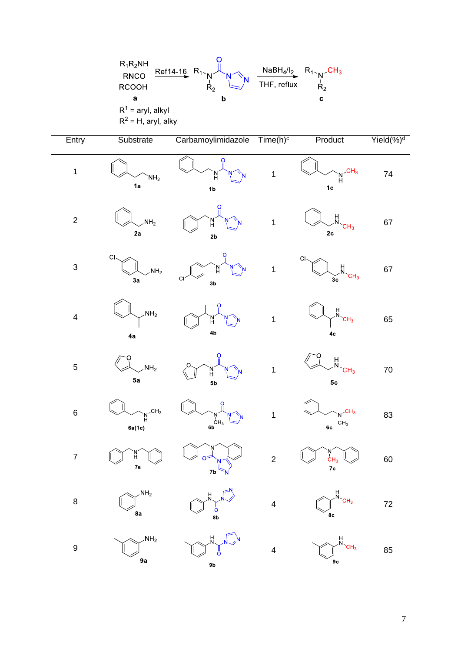|                         | $R_1R_2NH$<br>RNCO<br><b>RCOOH</b><br>$\mathbf a$<br>$R^1$ = aryl, alkyl | C<br>$Ref14-16$ R <sub>1</sub><br>N<br>$R_2$<br>$\bold{b}$                                                                                | THF, reflux             | $\frac{\text{NaBH}_4/I_2}{\text{THF, reflux}}$ $\begin{array}{c} \text{R}_1 \setminus \text{CH}_3 \\ \text{R}_2 \end{array}$<br>$\mathbf c$ |                       |  |  |
|-------------------------|--------------------------------------------------------------------------|-------------------------------------------------------------------------------------------------------------------------------------------|-------------------------|---------------------------------------------------------------------------------------------------------------------------------------------|-----------------------|--|--|
| $R^2$ = H, aryl, alkyl  |                                                                          |                                                                                                                                           |                         |                                                                                                                                             |                       |  |  |
| Entry                   | Substrate                                                                | Carbamoylimidazole                                                                                                                        | $Time(h)^c$             | Product                                                                                                                                     | Yield(%) <sup>d</sup> |  |  |
| $\mathbf 1$             | NH <sub>2</sub><br>1a                                                    | O<br>'N<br>H<br>1 <sub>b</sub>                                                                                                            | $\mathbf 1$             | CH <sub>3</sub><br>Ĥ<br>1 <sub>c</sub>                                                                                                      | 74                    |  |  |
| $\mathbf 2$             | NH <sub>2</sub><br>2a                                                    | o<br>'N´<br>H<br>2 <sub>b</sub>                                                                                                           | $\mathbf{1}$            | Ĥ<br>CH <sub>3</sub><br>2 <sub>c</sub>                                                                                                      | 67                    |  |  |
| $\mathfrak{S}$          | $C \setminus$<br>NH <sub>2</sub><br>3a                                   | `N`<br>H<br>$\mathsf{C}\mathsf{I}$<br>3 <sub>b</sub>                                                                                      | $\mathbf{1}$            | C<br>$\frac{H}{N}$<br>CH <sub>3</sub><br>$\check{3c}$                                                                                       | 67                    |  |  |
| $\overline{\mathbf{4}}$ | NH <sub>2</sub><br>4a                                                    | `N´<br>H<br>4 <sub>b</sub>                                                                                                                | $\mathbf{1}$            | $\frac{H}{N}$<br>CH <sub>3</sub><br>4c                                                                                                      | 65                    |  |  |
| 5                       | NH <sub>2</sub><br>5a                                                    | o<br>'N'<br>H<br>5 <sub>b</sub>                                                                                                           | $\mathbf 1$             | H<br>N<br>CH <sub>3</sub><br>${\bf 5c}$                                                                                                     | $70\,$                |  |  |
| 6                       | $\mathcal{L}CH_3$<br>N<br>H<br>6a(1c)                                    | $\Omega$<br>$\overset{\stackrel{1}{\phantom{}}\phantom{}}{6}\overset{\stackrel{1}{\phantom{}}}{6}\overset{\stackrel{1}{\phantom{}}}{H}_3$ | $\mathbf 1$             | CH <sub>3</sub><br>CH <sub>3</sub><br>6с                                                                                                    | 83                    |  |  |
| $\boldsymbol{7}$        | H.<br>7a                                                                 | o=<br>7b                                                                                                                                  | $\overline{c}$          | $M$<br>$CH3$<br>7c                                                                                                                          | 60                    |  |  |
| 8                       | NH <sub>2</sub><br>8a                                                    | $\frac{1}{0}$<br>8b                                                                                                                       | $\overline{\mathbf{4}}$ | CH <sub>3</sub><br>8c                                                                                                                       | $72\,$                |  |  |
| 9                       | NH <sub>2</sub><br>9a                                                    | H<br>N<br>ő<br>9 <sub>b</sub>                                                                                                             | $\overline{\mathbf{4}}$ | H<br>N<br>9 <sub>c</sub>                                                                                                                    | 85                    |  |  |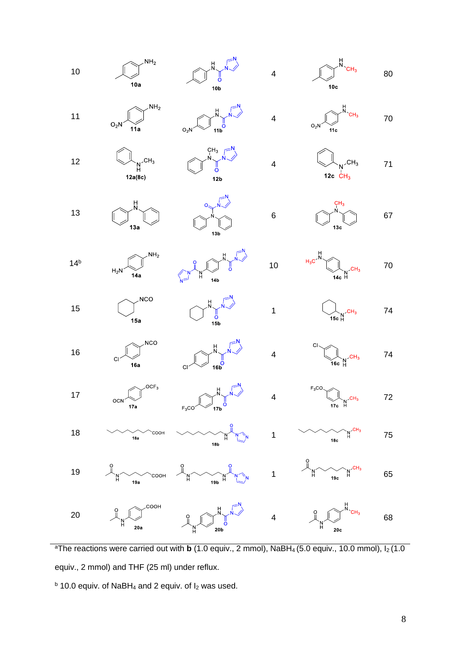

<sup>a</sup>The reactions were carried out with **b** (1.0 equiv., 2 mmol), NaBH<sub>4</sub> (5.0 equiv., 10.0 mmol),  $I_2$  (1.0 equiv., 2 mmol) and THF (25 ml) under reflux.

 $<sup>b</sup>$  10.0 equiv. of NaBH<sub>4</sub> and 2 equiv. of  $I_2$  was used.</sup>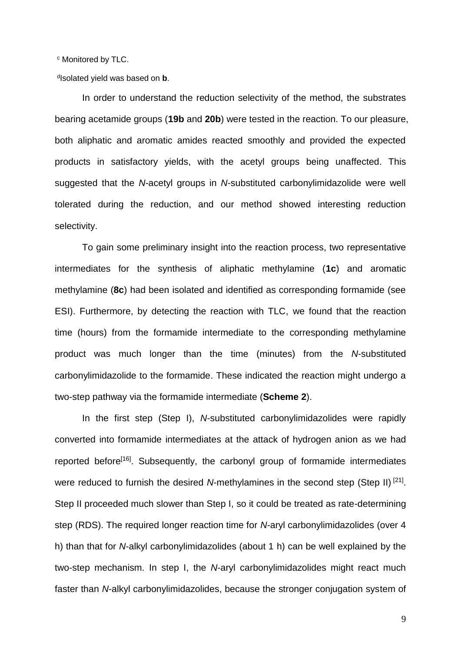<sup>c</sup> Monitored by TLC.

d Isolated yield was based on **b**.

In order to understand the reduction selectivity of the method, the substrates bearing acetamide groups (**19b** and **20b**) were tested in the reaction. To our pleasure, both aliphatic and aromatic amides reacted smoothly and provided the expected products in satisfactory yields, with the acetyl groups being unaffected. This suggested that the *N*-acetyl groups in *N*-substituted carbonylimidazolide were well tolerated during the reduction, and our method showed interesting reduction selectivity.

To gain some preliminary insight into the reaction process, two representative intermediates for the synthesis of aliphatic methylamine (**1c**) and aromatic methylamine (**8c**) had been isolated and identified as corresponding formamide (see ESI). Furthermore, by detecting the reaction with TLC, we found that the reaction time (hours) from the formamide intermediate to the corresponding methylamine product was much longer than the time (minutes) from the *N*-substituted carbonylimidazolide to the formamide. These indicated the reaction might undergo a two-step pathway via the formamide intermediate (**Scheme 2**).

In the first step (Step I), *N*-substituted carbonylimidazolides were rapidly converted into formamide intermediates at the attack of hydrogen anion as we had reported before<sup>[16]</sup>. Subsequently, the carbonyl group of formamide intermediates were reduced to furnish the desired N-methylamines in the second step (Step II)<sup>[21]</sup>. Step II proceeded much slower than Step I, so it could be treated as rate-determining step (RDS). The required longer reaction time for *N*-aryl carbonylimidazolides (over 4 h) than that for *N*-alkyl carbonylimidazolides (about 1 h) can be well explained by the two-step mechanism. In step I, the *N*-aryl carbonylimidazolides might react much faster than *N*-alkyl carbonylimidazolides, because the stronger conjugation system of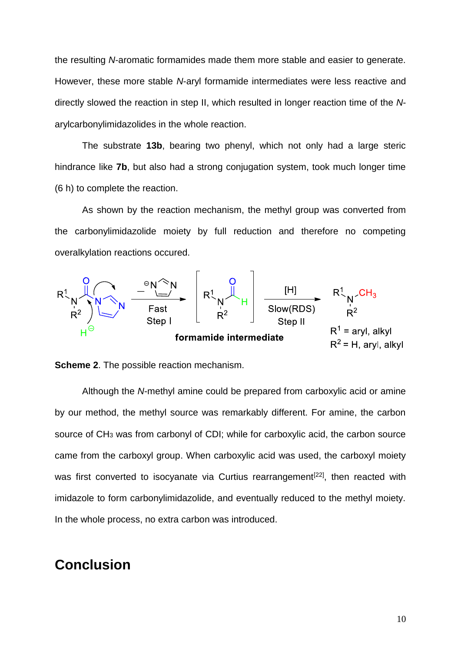the resulting *N*-aromatic formamides made them more stable and easier to generate. However, these more stable *N*-aryl formamide intermediates were less reactive and directly slowed the reaction in step II, which resulted in longer reaction time of the *N*arylcarbonylimidazolides in the whole reaction.

The substrate **13b**, bearing two phenyl, which not only had a large steric hindrance like **7b**, but also had a strong conjugation system, took much longer time (6 h) to complete the reaction.

As shown by the reaction mechanism, the methyl group was converted from the carbonylimidazolide moiety by full reduction and therefore no competing overalkylation reactions occured.





Although the *N*-methyl amine could be prepared from carboxylic acid or amine by our method, the methyl source was remarkably different. For amine, the carbon source of CH<sub>3</sub> was from carbonyl of CDI; while for carboxylic acid, the carbon source came from the carboxyl group. When carboxylic acid was used, the carboxyl moiety was first converted to isocyanate via Curtius rearrangement<sup>[22]</sup>, then reacted with imidazole to form carbonylimidazolide, and eventually reduced to the methyl moiety. In the whole process, no extra carbon was introduced.

#### **Conclusion**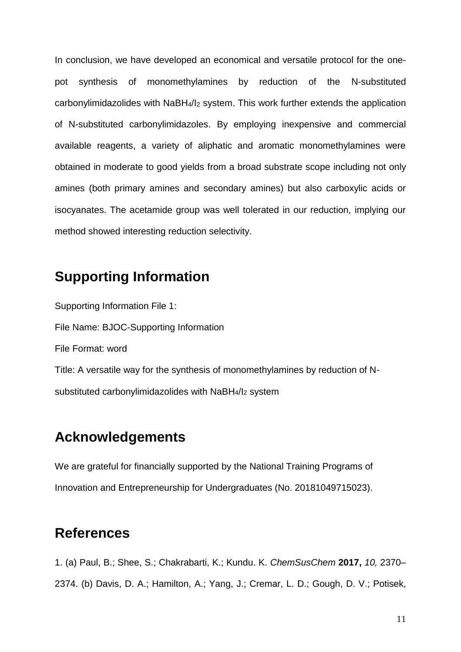In conclusion, we have developed an economical and versatile protocol for the onepot synthesis of monomethylamines by reduction of the N-substituted carbonylimidazolides with NaBH4/I<sup>2</sup> system. This work further extends the application of N-substituted carbonylimidazoles. By employing inexpensive and commercial available reagents, a variety of aliphatic and aromatic monomethylamines were obtained in moderate to good yields from a broad substrate scope including not only amines (both primary amines and secondary amines) but also carboxylic acids or isocyanates. The acetamide group was well tolerated in our reduction, implying our method showed interesting reduction selectivity.

# **Supporting Information**

Supporting Information File 1: File Name: BJOC-Supporting Information File Format: word Title: A versatile way for the synthesis of monomethylamines by reduction of Nsubstituted carbonylimidazolides with NaBH4/I<sup>2</sup> system

# **Acknowledgements**

We are grateful for financially supported by the National Training Programs of Innovation and Entrepreneurship for Undergraduates (No. 20181049715023).

# **References**

1. (a) Paul, B.; Shee, S.; Chakrabarti, K.; Kundu. K. *ChemSusChem* **2017,** *10,* 2370– 2374. (b) Davis, D. A.; Hamilton, A.; Yang, J.; Cremar, L. D.; Gough, D. V.; Potisek,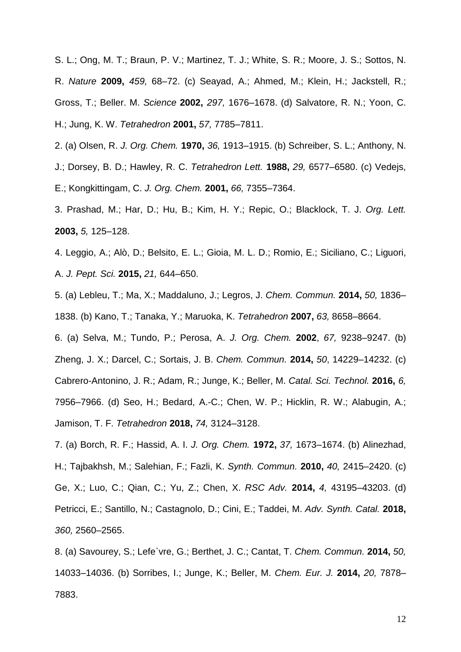S. L.; Ong, M. T.; Braun, P. V.; Martinez, T. J.; White, S. R.; Moore, J. S.; Sottos, N. R. *Nature* **2009,** *459,* 68–72. (c) Seayad, A.; Ahmed, M.; Klein, H.; Jackstell, R.; Gross, T.; Beller. M. *Science* **2002,** *297,* 1676–1678. (d) Salvatore, R. N.; Yoon, C. H.; Jung, K. W. *Tetrahedron* **2001,** *57,* 7785–7811.

- 2. (a) Olsen, R. *J. Org. Chem.* **1970,** *36,* 1913–1915. (b) Schreiber, S. L.; Anthony, N. J.; Dorsey, B. D.; Hawley, R. C. *Tetrahedron Lett.* **1988,** *29,* 6577–6580. (c) Vedejs, E.; Kongkittingam, C. *J. Org. Chem.* **2001,** *66,* 7355–7364.
- 3. Prashad, M.; Har, D.; Hu, B.; Kim, H. Y.; Repic, O.; Blacklock, T. J. *Org. Lett.*  **2003,** *5,* 125–128.
- 4. Leggio, A.; Alò, D.; Belsito, E. L.; Gioia, M. L. D.; Romio, E.; Siciliano, C.; Liguori, A. *J. Pept. Sci.* **2015,** *21,* 644–650.
- 5. (a) Lebleu, T.; Ma, X.; Maddaluno, J.; Legros, J. *Chem. Commun.* **2014,** *50,* 1836– 1838. (b) Kano, T.; Tanaka, Y.; Maruoka, K. *Tetrahedron* **2007,** *63,* 8658–8664.
- 6. (a) Selva, M.; Tundo, P.; Perosa, A. *J. Org. Chem.* **2002**, *67,* 9238–9247. (b) Zheng, J. X.; Darcel, C.; Sortais, J. B. *Chem. Commun.* **2014,** *50*, 14229–14232. (c) Cabrero-Antonino, J. R.; Adam, R.; Junge, K.; Beller, M. *Catal. Sci. Technol.* **2016,** *6,*  7956–7966. (d) Seo, H.; Bedard, A.-C.; Chen, W. P.; Hicklin, R. W.; Alabugin, A.; Jamison, T. F. *Tetrahedron* **2018,** *74,* 3124–3128.
- 7. (a) Borch, R. F.; Hassid, A. I. *J. Org. Chem.* **1972,** *37,* 1673–1674. (b) Alinezhad, H.; Tajbakhsh, M.; Salehian, F.; Fazli, K. *Synth. Commun.* **2010,** *40,* 2415–2420. (c) Ge, X.; Luo, C.; Qian, C.; Yu, Z.; Chen, X. *RSC Adv.* **2014,** *4,* 43195–43203. (d) Petricci, E.; Santillo, N.; Castagnolo, D.; Cini, E.; Taddei, M. *Adv. Synth. Catal.* **2018,**  *360,* 2560–2565.

<sup>8. (</sup>a) Savourey, S.; Lefe`vre, G.; Berthet, J. C.; Cantat, T. *Chem. Commun.* **2014,** *50,*  14033–14036. (b) Sorribes, I.; Junge, K.; Beller, M. *Chem. Eur. J.* **2014,** *20,* 7878– 7883.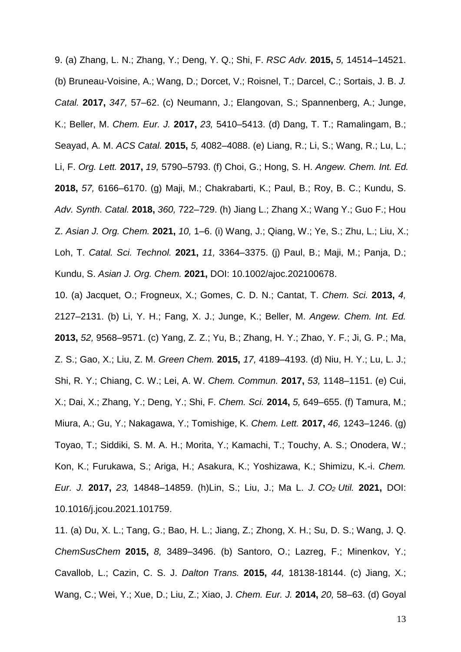9. (a) Zhang, L. N.; Zhang, Y.; Deng, Y. Q.; Shi, F. *RSC Adv.* **2015,** *5,* 14514–14521. (b) Bruneau-Voisine, A.; Wang, D.; Dorcet, V.; Roisnel, T.; Darcel, C.; Sortais, J. B. *J. Catal.* **2017,** *347,* 57–62. (c) Neumann, J.; Elangovan, S.; Spannenberg, A.; Junge, K.; Beller, M. *Chem. Eur. J.* **2017,** *23,* 5410–5413. (d) Dang, T. T.; Ramalingam, B.; Seayad, A. M. *ACS Catal.* **2015,** *5,* 4082–4088. (e) Liang, R.; Li, S.; Wang, R.; Lu, L.; Li, F. *Org. Lett.* **2017,** *19,* 5790–5793. (f) Choi, G.; Hong, S. H. *Angew. Chem. Int. Ed.* **2018,** *57,* 6166–6170. (g) Maji, M.; Chakrabarti, K.; Paul, B.; Roy, B. C.; Kundu, S. *Adv. Synth. Catal.* **2018,** *360,* 722–729. (h) Jiang L.; Zhang X.; Wang Y.; Guo F.; Hou Z. *Asian J. Org. Chem.* **2021,** *10,* 1–6. (i) Wang, J.; Qiang, W.; Ye, S.; Zhu, L.; Liu, X.; Loh, T. *Catal. Sci. Technol.* **2021,** *11,* 3364–3375. (j) Paul, B.; Maji, M.; Panja, D.; Kundu, S. *Asian J. Org. Chem.* **2021,** DOI: 10.1002/ajoc.202100678.

10. (a) Jacquet, O.; Frogneux, X.; Gomes, C. D. N.; Cantat, T. *Chem. Sci.* **2013,** *4,*  2127–2131. (b) Li, Y. H.; Fang, X. J.; Junge, K.; Beller, M. *Angew. Chem. Int. Ed.* **2013,** *52,* 9568–9571. (c) Yang, Z. Z.; Yu, B.; Zhang, H. Y.; Zhao, Y. F.; Ji, G. P.; Ma, Z. S.; Gao, X.; Liu, Z. M. *Green Chem.* **2015,** *17,* 4189–4193. (d) Niu, H. Y.; Lu, L. J.; Shi, R. Y.; Chiang, C. W.; Lei, A. W. *Chem. Commun.* **2017,** *53,* 1148–1151. (e) Cui, X.; Dai, X.; Zhang, Y.; Deng, Y.; Shi, F. *Chem. Sci.* **2014,** *5,* 649–655. (f) Tamura, M.; Miura, A.; Gu, Y.; Nakagawa, Y.; Tomishige, K. *Chem. Lett.* **2017,** *46,* 1243–1246. (g) Toyao, T.; Siddiki, S. M. A. H.; Morita, Y.; Kamachi, T.; Touchy, A. S.; Onodera, W.; Kon, K.; Furukawa, S.; Ariga, H.; Asakura, K.; Yoshizawa, K.; Shimizu, K.-i. *Chem. Eur. J.* **2017,** *23,* 14848–14859. (h)Lin, S.; Liu, J.; Ma L. *J. CO<sup>2</sup> Util.* **2021,** DOI: 10.1016/j.jcou.2021.101759.

11. (a) Du, X. L.; Tang, G.; Bao, H. L.; Jiang, Z.; Zhong, X. H.; Su, D. S.; Wang, J. Q. *ChemSusChem* **2015,** *8,* 3489–3496. (b) Santoro, O.; Lazreg, F.; Minenkov, Y.; Cavallob, L.; Cazin, C. S. J. *Dalton Trans.* **2015,** *44,* 18138-18144. (c) Jiang, X.; Wang, C.; Wei, Y.; Xue, D.; Liu, Z.; Xiao, J. *Chem. Eur. J.* **2014,** *20,* 58–63. (d) Goyal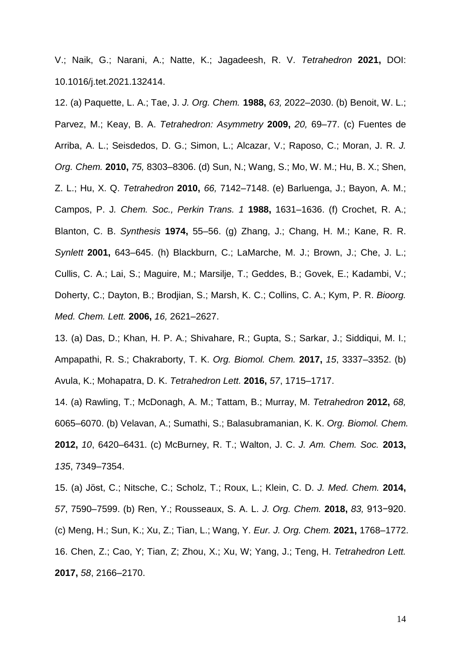V.; Naik, G.; Narani, A.; Natte, K.; Jagadeesh, R. V. *Tetrahedron* **2021,** DOI: 10.1016/j.tet.2021.132414.

12. (a) Paquette, L. A.; Tae, J. *J. Org. Chem.* **1988,** *63,* 2022–2030. (b) Benoit, W. L.; Parvez, M.; Keay, B. A. *Tetrahedron: Asymmetry* **2009,** *20,* 69–77. (c) Fuentes de Arriba, A. L.; Seisdedos, D. G.; Simon, L.; Alcazar, V.; Raposo, C.; Moran, J. R. *J. Org. Chem.* **2010,** *75,* 8303–8306. (d) Sun, N.; Wang, S.; Mo, W. M.; Hu, B. X.; Shen, Z. L.; Hu, X. Q. *Tetrahedron* **2010,** *66,* 7142–7148. (e) Barluenga, J.; Bayon, A. M.; Campos, P. J*. Chem. Soc., Perkin Trans. 1* **1988,** 1631–1636. (f) Crochet, R. A.; Blanton, C. B. *Synthesis* **1974,** 55–56. (g) Zhang, J.; Chang, H. M.; Kane, R. R. *Synlett* **2001,** 643–645. (h) Blackburn, C.; LaMarche, M. J.; Brown, J.; Che, J. L.; Cullis, C. A.; Lai, S.; Maguire, M.; Marsilje, T.; Geddes, B.; Govek, E.; Kadambi, V.; Doherty, C.; Dayton, B.; Brodjian, S.; Marsh, K. C.; Collins, C. A.; Kym, P. R. *Bioorg. Med. Chem. Lett.* **2006,** *16,* 2621–2627.

13. (a) Das, D.; Khan, H. P. A.; Shivahare, R.; Gupta, S.; Sarkar, J.; Siddiqui, M. I.; Ampapathi, R. S.; Chakraborty, T. K. *Org. Biomol. Chem.* **2017,** *15*, 3337–3352. (b) Avula, K.; Mohapatra, D. K. *Tetrahedron Lett.* **2016,** *57*, 1715–1717.

14. (a) Rawling, T.; McDonagh, A. M.; Tattam, B.; Murray, M. *Tetrahedron* **2012,** *68,* 6065–6070. (b) Velavan, A.; Sumathi, S.; Balasubramanian, K. K. *Org. Biomol. Chem.* **2012,** *10*, 6420–6431. (c) McBurney, R. T.; Walton, J. C. *J. Am. Chem. Soc.* **2013,** *135*, 7349–7354.

15. (a) Jöst, C.; Nitsche, C.; Scholz, T.; Roux, L.; Klein, C. D. *J. Med. Chem.* **2014,** *57*, 7590–7599. (b) Ren, Y.; Rousseaux, S. A. L. *J. Org. Chem.* **2018,** *83,* 913−920. (c) Meng, H.; Sun, K.; Xu, Z.; Tian, L.; Wang, Y. *Eur. J. Org. Chem.* **2021,** 1768–1772. 16. Chen, Z.; Cao, Y; Tian, Z; Zhou, X.; Xu, W; Yang, J.; Teng, H. *Tetrahedron Lett.* **2017,** *58*, 2166–2170.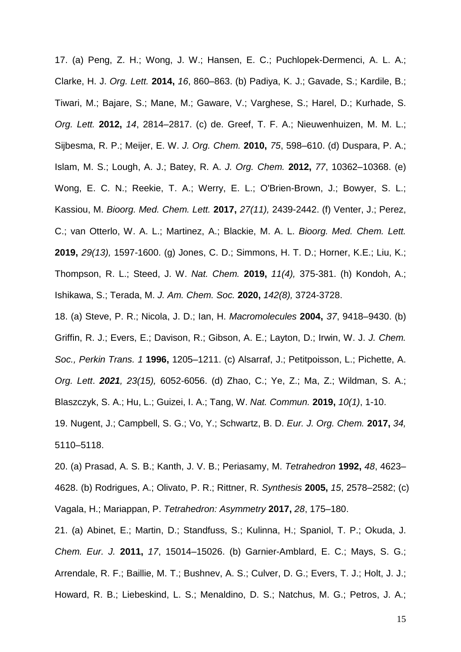17. (a) Peng, Z. H.; Wong, J. W.; Hansen, E. C.; Puchlopek-Dermenci, A. L. A.; Clarke, H. J. *Org. Lett.* **2014,** *16*, 860–863. (b) Padiya, K. J.; Gavade, S.; Kardile, B.; Tiwari, M.; Bajare, S.; Mane, M.; Gaware, V.; Varghese, S.; Harel, D.; Kurhade, S. *Org. Lett.* **2012,** *14*, 2814–2817. (c) de. Greef, T. F. A.; Nieuwenhuizen, M. M. L.; Sijbesma, R. P.; Meijer, E. W. *J. Org. Chem.* **2010,** *75*, 598–610. (d) Duspara, P. A.; Islam, M. S.; Lough, A. J.; Batey, R. A. *J. Org. Chem.* **2012,** *77*, 10362–10368. (e) Wong, E. C. N.; Reekie, T. A.; Werry, E. L.; O'Brien-Brown, J.; Bowyer, S. L.; Kassiou, M. *Bioorg. Med. Chem. Lett.* **2017,** *27(11),* 2439-2442. (f) Venter, J.; Perez, C.; van Otterlo, W. A. L.; Martinez, A.; Blackie, M. A. L. *Bioorg. Med. Chem. Lett.* **2019,** *29(13),* 1597-1600. (g) Jones, C. D.; Simmons, H. T. D.; Horner, K.E.; Liu, K.; Thompson, R. L.; Steed, J. W. *Nat. Chem.* **2019,** *11(4),* 375-381. (h) Kondoh, A.; Ishikawa, S.; Terada, M. *J. Am. Chem. Soc.* **2020,** *142(8),* 3724-3728.

18. (a) Steve, P. R.; Nicola, J. D.; Ian, H. *Macromolecules* **2004,** *37*, 9418–9430. (b) Griffin, R. J.; Evers, E.; Davison, R.; Gibson, A. E.; Layton, D.; Irwin, W. J. *J. Chem. Soc., Perkin Trans. 1* **1996,** 1205–1211. (c) Alsarraf, J.; Petitpoisson, L.; Pichette, A. *Org. Lett*. *2021, 23(15),* 6052-6056. (d) Zhao, C.; Ye, Z.; Ma, Z.; Wildman, S. A.; Blaszczyk, S. A.; Hu, L.; Guizei, I. A.; Tang, W. *Nat. Commun.* **2019,** *10(1)*, 1-10. 19. Nugent, J.; Campbell, S. G.; Vo, Y.; Schwartz, B. D. *Eur. J. Org. Chem.* **2017,** *34,*

5110–5118.

20. (a) Prasad, A. S. B.; Kanth, J. V. B.; Periasamy, M. *Tetrahedron* **1992,** *48*, 4623– 4628. (b) Rodrigues, A.; Olivato, P. R.; Rittner, R. *Synthesis* **2005,** *15*, 2578–2582; (c) Vagala, H.; Mariappan, P. *Tetrahedron: Asymmetry* **2017,** *28*, 175–180.

21. (a) Abinet, E.; Martin, D.; Standfuss, S.; Kulinna, H.; Spaniol, T. P.; Okuda, J. *Chem. Eur. J.* **2011,** *17*, 15014–15026. (b) Garnier-Amblard, E. C.; Mays, S. G.; Arrendale, R. F.; Baillie, M. T.; Bushnev, A. S.; Culver, D. G.; Evers, T. J.; Holt, J. J.; Howard, R. B.; Liebeskind, L. S.; Menaldino, D. S.; Natchus, M. G.; Petros, J. A.;